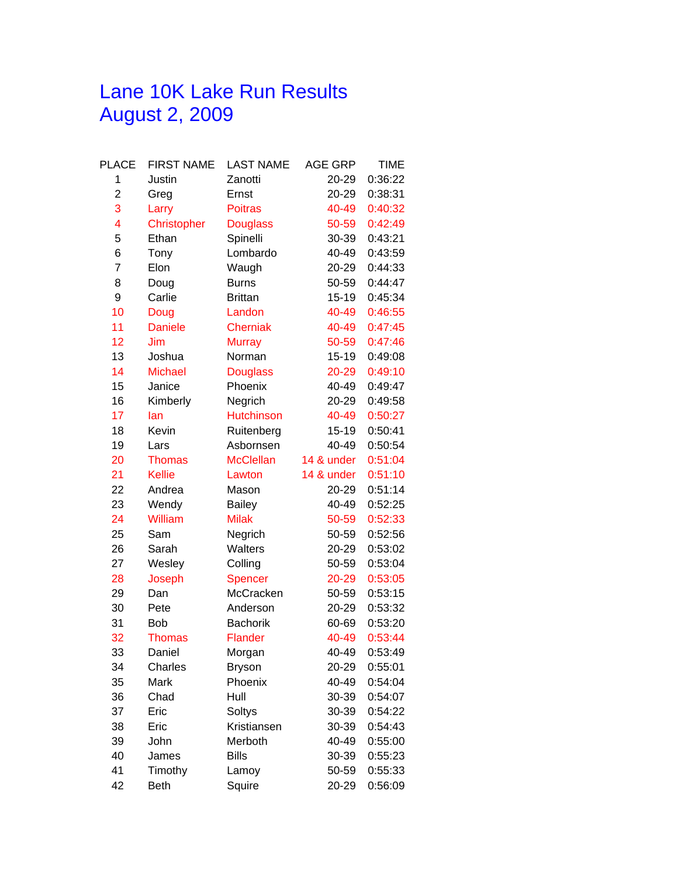## Lane 10K Lake Run Results August 2, 2009

| PLACE          | <b>FIRST NAME</b> | <b>LAST NAME</b>  | <b>AGE GRP</b> | <b>TIME</b> |
|----------------|-------------------|-------------------|----------------|-------------|
| 1              | Justin            | Zanotti           | 20-29          | 0:36:22     |
| $\overline{2}$ | Greg              | Ernst             | 20-29          | 0:38:31     |
| 3              | Larry             | <b>Poitras</b>    | 40-49          | 0:40:32     |
| 4              | Christopher       | <b>Douglass</b>   | 50-59          | 0:42:49     |
| 5              | Ethan             | Spinelli          | 30-39          | 0:43:21     |
| 6              | Tony              | Lombardo          | 40-49          | 0:43:59     |
| 7              | Elon              | Waugh             | 20-29          | 0:44:33     |
| 8              | Doug              | <b>Burns</b>      | 50-59          | 0:44:47     |
| 9              | Carlie            | <b>Brittan</b>    | $15 - 19$      | 0:45:34     |
| 10             | Doug              | Landon            | 40-49          | 0:46:55     |
| 11             | <b>Daniele</b>    | <b>Cherniak</b>   | 40-49          | 0:47:45     |
| 12             | Jim               | <b>Murray</b>     | 50-59          | 0:47:46     |
| 13             | Joshua            | Norman            | $15-19$        | 0:49:08     |
| 14             | <b>Michael</b>    | <b>Douglass</b>   | 20-29          | 0:49:10     |
| 15             | Janice            | Phoenix           | 40-49          | 0:49:47     |
| 16             | Kimberly          | Negrich           | 20-29          | 0:49:58     |
| 17             | lan               | <b>Hutchinson</b> | 40-49          | 0:50:27     |
| 18             | Kevin             | Ruitenberg        | 15-19          | 0:50:41     |
| 19             | Lars              | Asbornsen         | 40-49          | 0:50:54     |
| 20             | <b>Thomas</b>     | <b>McClellan</b>  | 14 & under     | 0:51:04     |
| 21             | <b>Kellie</b>     | Lawton            | 14 & under     | 0:51:10     |
| 22             | Andrea            | Mason             | 20-29          | 0:51:14     |
| 23             | Wendy             | <b>Bailey</b>     | 40-49          | 0:52:25     |
| 24             | William           | <b>Milak</b>      | 50-59          | 0:52:33     |
| 25             | Sam               | Negrich           | 50-59          | 0:52:56     |
| 26             | Sarah             | Walters           | 20-29          | 0:53:02     |
| 27             | Wesley            | Colling           | 50-59          | 0:53:04     |
| 28             | Joseph            | Spencer           | 20-29          | 0:53:05     |
| 29             | Dan               | McCracken         | 50-59          | 0:53:15     |
| 30             | Pete              | Anderson          | 20-29          | 0:53:32     |
| 31             | Bob               | <b>Bachorik</b>   | 60-69          | 0:53:20     |
| 32             | <b>Thomas</b>     | <b>Flander</b>    | 40-49          | 0:53:44     |
| 33             | Daniel            | Morgan            | 40-49          | 0:53:49     |
| 34             | Charles           | <b>Bryson</b>     | 20-29          | 0:55:01     |
| 35             | Mark              | Phoenix           | 40-49          | 0:54:04     |
| 36             | Chad              | Hull              | 30-39          | 0:54:07     |
| 37             | Eric              | Soltys            | 30-39          | 0:54:22     |
| 38             | Eric              | Kristiansen       | 30-39          | 0:54:43     |
| 39             | John              | Merboth           | 40-49          | 0:55:00     |
| 40             | James             | <b>Bills</b>      | 30-39          | 0:55:23     |
| 41             | Timothy           | Lamoy             | 50-59          | 0:55:33     |
| 42             | <b>Beth</b>       | Squire            | 20-29          | 0:56:09     |